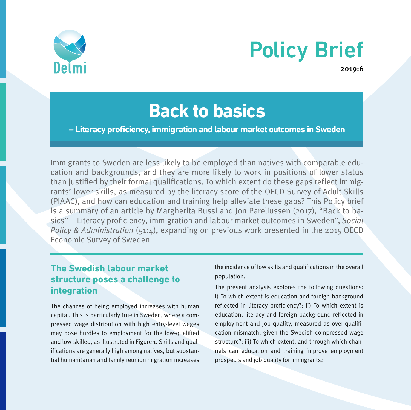

# Policy Brief

2019:6

# **Back to basics**

**– Literacy proficiency, immigration and labour market outcomes in Sweden**

Immigrants to Sweden are less likely to be employed than natives with comparable education and backgrounds, and they are more likely to work in positions of lower status than justified by their formal qualifications. To which extent do these gaps reflect immigrants' lower skills, as measured by the literacy score of the OECD Survey of Adult Skills (PIAAC), and how can education and training help alleviate these gaps? This Policy brief is a summary of an article by Margherita Bussi and Jon Pareliussen (2017), "Back to basics" – Literacy proficiency, immigration and labour market outcomes in Sweden", Social Policy & Administration (51:4), expanding on previous work presented in the 2015 OECD Economic Survey of Sweden.

# **The Swedish labour market structure poses a challenge to integration**

The chances of being employed increases with human capital. This is particularly true in Sweden, where a compressed wage distribution with high entry-level wages may pose hurdles to employment for the low-qualified and low-skilled, as illustrated in Figure 1. Skills and qualifications are generally high among natives, but substantial humanitarian and family reunion migration increases the incidence of low skills and qualifications in the overall population.

The present analysis explores the following questions: i) To which extent is education and foreign background reflected in literacy proficiency?; ii) To which extent is education, literacy and foreign background reflected in employment and job quality, measured as over-qualification mismatch, given the Swedish compressed wage structure?; iii) To which extent, and through which channels can education and training improve employment prospects and job quality for immigrants?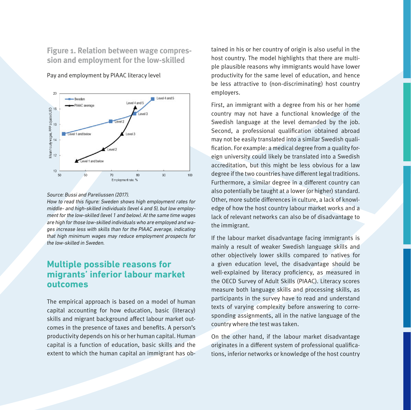**Figure 1. Relation between wage compression and employment for the low-skilled** 



Pay and employment by PIAAC literacy level

#### *Source: Bussi and Pareliussen (2017).*

*How to read this figure: Sweden shows high employment rates for middle- and high-skilled individuals (level 4 and 5), but low employment for the low-skilled (level 1 and below). At the same time wages are high for those low-skilled individuals who are employed and wages increase less with skills than for the PIAAC average, indicating that high minimum wages may reduce employment prospects for the low-skilled in Sweden.*

# **Multiple possible reasons for migrants' inferior labour market outcomes**

The empirical approach is based on a model of human capital accounting for how education, basic (literacy) skills and migrant background affect labour market outcomes in the presence of taxes and benefits. A person's productivity depends on his or her human capital. Human capital is a function of education, basic skills and the extent to which the human capital an immigrant has obtained in his or her country of origin is also useful in the host country. The model highlights that there are multiple plausible reasons why immigrants would have lower productivity for the same level of education, and hence be less attractive to (non-discriminating) host country employers.

First, an immigrant with a degree from his or her home country may not have a functional knowledge of the Swedish language at the level demanded by the job. Second, a professional qualification obtained abroad may not be easily translated into a similar Swedish qualification. For example: a medical degree from a quality foreign university could likely be translated into a Swedish accreditation, but this might be less obvious for a law degree if the two countries have different legal traditions. Furthermore, a similar degree in a different country can also potentially be taught at a lower (or higher) standard. Other, more subtle differences in culture, a lack of knowledge of how the host country labour market works and a lack of relevant networks can also be of disadvantage to the immigrant.

If the labour market disadvantage facing immigrants is mainly a result of weaker Swedish language skills and other objectively lower skills compared to natives for a given education level, the disadvantage should be well-explained by literacy proficiency, as measured in the OECD Survey of Adult Skills (PIAAC). Literacy scores measure both language skills and processing skills, as participants in the survey have to read and understand texts of varying complexity before answering to corresponding assignments, all in the native language of the country where the test was taken.

On the other hand, if the labour market disadvantage originates in a different system of professional qualifications, inferior networks or knowledge of the host country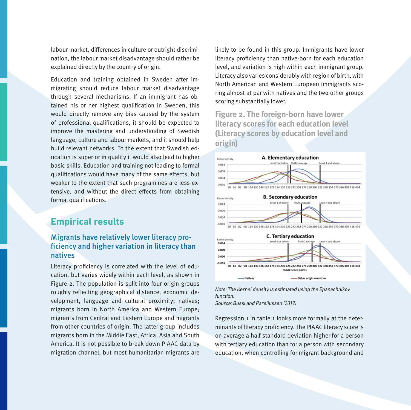labour market, differences in culture or outright discrimination, the labour market disadvantage should rather be explained directly by the country of origin.

Education and training obtained in Sweden after immigrating should reduce labour market disadvantage through several mechanisms. If an immigrant has obtained his or her highest qualification in Sweden, this would directly remove any bias caused by the system of professional qualifications, it should be expected to improve the mastering and understanding of Swedish language, culture and labour markets, and it should help build relevant networks. To the extent that Swedish education is superior in quality it would also lead to higher basic skills. Education and training not leading to formal qualifications would have many of the same effects, but weaker to the extent that such programmes are less extensive, and without the direct effects from obtaining formal qualifications.

### **Empirical results**

#### Migrants have relatively lower literacy proficiency and higher variation in literacy than natives

Literacy proficiency is correlated with the level of education, but varies widely within each level, as shown in Figure 2. The population is split into four origin groups roughly reflecting geographical distance, economic development, language and cultural proximity; natives; migrants born in North America and Western Europe; migrants from Central and Eastern Europe and migrants from other countries of origin. The latter group includes migrants born in the Middle East, Africa, Asia and South America. It is not possible to break down PIAAC data by migration channel, but most humanitarian migrants are

likely to be found in this group. Immigrants have lower literacy proficiency than native-born for each education level, and variation is high within each immigrant group. Literacy also varies considerably with region of birth, with North American and Western European immigrants scoring almost at par with natives and the two other groups scoring substantially lower.

**Figure 2. The foreign-born have lower literacy scores for each education level (Literacy scores by education level and origin)**



*Note: The Kernel density is estimated using the Epanechnikov function. Source: Bussi and Pareliussen (2017)*

Regression 1 in table 1 looks more formally at the determinants of literacy proficiency. The PIAAC literacy score is on average a half standard deviation higher for a person with tertiary education than for a person with secondary education, when controlling for migrant background and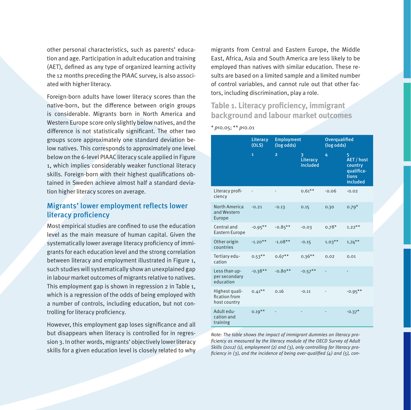other personal characteristics, such as parents' education and age. Participation in adult education and training (AET), defined as any type of organized learning activity the 12 months preceding the PIAAC survey, is also associated with higher literacy.

Foreign-born adults have lower literacy scores than the native-born, but the difference between origin groups is considerable. Migrants born in North America and Western Europe score only slightly below natives, and the difference is not statistically significant. The other two groups score approximately one standard deviation below natives. This corresponds to approximately one level below on the 6-level PIAAC literacy scale applied in Figure 1, which implies considerably weaker functional literacy skills. Foreign-born with their highest qualifications obtained in Sweden achieve almost half a standard deviation higher literacy scores on average.

#### Migrants' lower employment reflects lower literacy proficiency

Most empirical studies are confined to use the education level as the main measure of human capital. Given the systematically lower average literacy proficiency of immigrants for each education level and the strong correlation between literacy and employment illustrated in Figure 1, such studies will systematically show an unexplained gap in labour market outcomes of migrants relative to natives. This employment gap is shown in regression 2 in Table 1, which is a regression of the odds of being employed with a number of controls, including education, but not controlling for literacy proficiency.

However, this employment gap loses significance and all but disappears when literacy is controlled for in regression 3. In other words, migrants' objectively lower literacy skills for a given education level is closely related to why migrants from Central and Eastern Europe, the Middle East, Africa, Asia and South America are less likely to be employed than natives with similar education. These results are based on a limited sample and a limited number of control variables, and cannot rule out that other factors, including discrimination, play a role.

# **Table 1. Literacy proficiency, immigrant background and labour market outcomes**

|                                                 | Literacy<br>(OLS)       | <b>Employment</b><br>(log odds) |                           | Overqualified<br>(log odds) |                                                               |
|-------------------------------------------------|-------------------------|---------------------------------|---------------------------|-----------------------------|---------------------------------------------------------------|
|                                                 | $\overline{\mathbf{1}}$ | $\overline{a}$                  | 3<br>Literacy<br>included | 4                           | 5<br>AET / host<br>country<br>qualifica-<br>tions<br>included |
| Literacy profi-<br>ciency                       |                         |                                 | $0.61***$                 | $-0.06$                     | $-0.02$                                                       |
| <b>North America</b><br>and Western<br>Europe   | $-0.21$                 | $-0.13$                         | 0.15                      | 0.30                        | $0.79*$                                                       |
| Central and<br><b>Eastern Europe</b>            | $-0.95***$              | $-0.85***$                      | $-0.03$                   | $0.78*$                     | $1.22***$                                                     |
| Other origin<br>countries                       | $-1.20**$               | $-1.08**$                       | $-0.15$                   | $1.03***$                   | $1.74***$                                                     |
| Tertiary edu-<br>cation                         | $0.53***$               | $0.67***$                       | $0.36***$                 | 0.02                        | 0.01                                                          |
| Less than up-<br>per secondary<br>education     | $-0.38**$               | $-0.80**$                       | $-0.57**$                 |                             |                                                               |
| Highest quali-<br>fication from<br>host country | $0.41***$               | 0.16                            | $-0.11$                   |                             | $-0.95***$                                                    |
| Adult edu-<br>cation and<br>training            | $0.19**$                |                                 |                           |                             | $-0.37*$                                                      |

 $*$  p(0.05; \*\* p(0.01

Note: The table shows the impact of immigrant dummies on literacy proficiency as measured by the literacy module of the OECD Survey of Adult Skills (2012) (1), employment (2) and (3), only controlling for literacy proficiency in (3), and the incidence of being over-qualified (4) and (5), con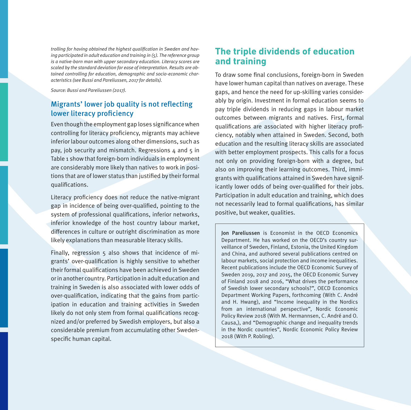trolling for having obtained the highest qualification in Sweden and having participated in adult education and training in (5). The reference group is a native-born man with upper secondary education. Literacy scores are scaled by the standard deviation for ease of interpretation. Results are obtained controlling for education, demographic and socio-economic characteristics (see Bussi and Pareliussen, 2017 for details).

Source: Bussi and Pareliussen (2017).

#### Migrants' lower job quality is not reflecting lower literacy proficiency

Even though the employment gap loses significance when controlling for literacy proficiency, migrants may achieve inferior labour outcomes along other dimensions, such as pay, job security and mismatch. Regressions  $4$  and  $5$  in Table 1 show that foreign-born individuals in employment are considerably more likely than natives to work in positions that are of lower status than justified by their formal qualifications.

Literacy proficiency does not reduce the native-migrant gap in incidence of being over-qualified, pointing to the system of professional qualifications, inferior networks, inferior knowledge of the host country labour market, differences in culture or outright discrimination as more likely explanations than measurable literacy skills.

Finally, regression 5 also shows that incidence of migrants' over-qualification is highly sensitive to whether their formal qualifications have been achieved in Sweden or in another country. Participation in adult education and training in Sweden is also associated with lower odds of over-qualification, indicating that the gains from participation in education and training activities in Sweden likely do not only stem from formal qualifications recognized and/or preferred by Swedish employers, but also a considerable premium from accumulating other Swedenspecific human capital.

# **The triple dividends of education and training**

To draw some final conclusions, foreign-born in Sweden have lower human capital than natives on average. These gaps, and hence the need for up-skilling varies considerably by origin. Investment in formal education seems to pay triple dividends in reducing gaps in labour market outcomes between migrants and natives. First, formal qualifications are associated with higher literacy proficiency, notably when attained in Sweden. Second, both education and the resulting literacy skills are associated with better employment prospects. This calls for a focus not only on providing foreign-born with a degree, but also on improving their learning outcomes. Third, immigrants with qualifications attained in Sweden have significantly lower odds of being over-qualified for their jobs. Participation in adult education and training, which does not necessarily lead to formal qualifications, has similar positive, but weaker, qualities.

Jon Pareliussen is Economist in the OECD Economics Department. He has worked on the OECD's country surveillance of Sweden, Finland, Estonia, the United Kingdom and China, and authored several publications centred on labour markets, social protection and income inequalities. Recent publications include the OECD Economic Survey of Sweden 2019, 2017 and 2015, the OECD Economic Survey of Finland 2018 and 2016, "What drives the performance of Swedish lower secondary schools?", OECD Economics Department Working Papers, forthcoming (With C. André and H. Hwang), and "Income inequality in the Nordics from an international perspective", Nordic Economic Policy Review 2018 (With M. Hermannsen, C. André and O. Causa,), and "Demographic change and inequality trends in the Nordic countries", Nordic Economic Policy Review 2018 (With P. Robling).